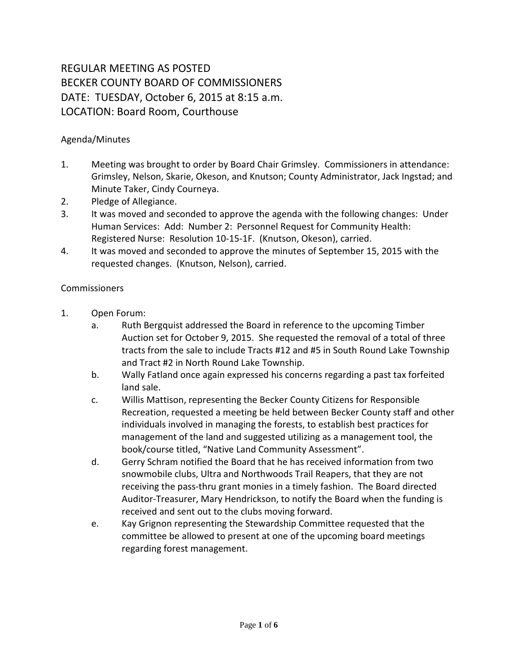## REGULAR MEETING AS POSTED BECKER COUNTY BOARD OF COMMISSIONERS DATE: TUESDAY, October 6, 2015 at 8:15 a.m. LOCATION: Board Room, Courthouse

## Agenda/Minutes

- 1. Meeting was brought to order by Board Chair Grimsley. Commissioners in attendance: Grimsley, Nelson, Skarie, Okeson, and Knutson; County Administrator, Jack Ingstad; and Minute Taker, Cindy Courneya.
- 2. Pledge of Allegiance.
- 3. It was moved and seconded to approve the agenda with the following changes: Under Human Services: Add: Number 2: Personnel Request for Community Health: Registered Nurse: Resolution 10-15-1F. (Knutson, Okeson), carried.
- 4. It was moved and seconded to approve the minutes of September 15, 2015 with the requested changes. (Knutson, Nelson), carried.

## **Commissioners**

- 1. Open Forum:
	- a. Ruth Bergquist addressed the Board in reference to the upcoming Timber Auction set for October 9, 2015. She requested the removal of a total of three tracts from the sale to include Tracts #12 and #5 in South Round Lake Township and Tract #2 in North Round Lake Township.
	- b. Wally Fatland once again expressed his concerns regarding a past tax forfeited land sale.
	- c. Willis Mattison, representing the Becker County Citizens for Responsible Recreation, requested a meeting be held between Becker County staff and other individuals involved in managing the forests, to establish best practices for management of the land and suggested utilizing as a management tool, the book/course titled, "Native Land Community Assessment".
	- d. Gerry Schram notified the Board that he has received information from two snowmobile clubs, Ultra and Northwoods Trail Reapers, that they are not receiving the pass-thru grant monies in a timely fashion. The Board directed Auditor-Treasurer, Mary Hendrickson, to notify the Board when the funding is received and sent out to the clubs moving forward.
	- e. Kay Grignon representing the Stewardship Committee requested that the committee be allowed to present at one of the upcoming board meetings regarding forest management.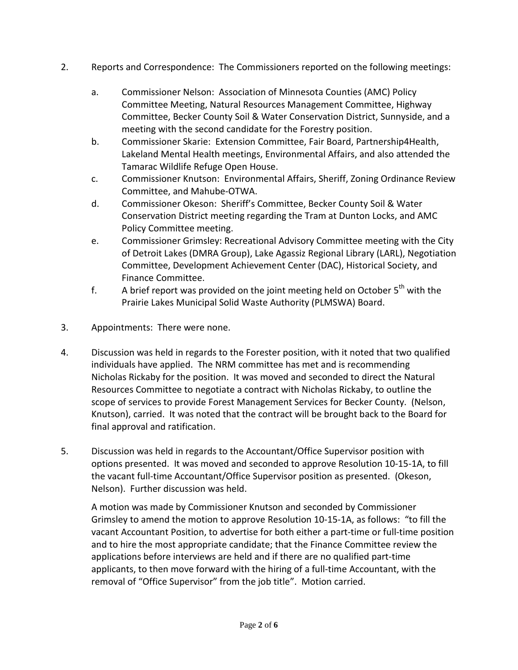- 2. Reports and Correspondence: The Commissioners reported on the following meetings:
	- a. Commissioner Nelson: Association of Minnesota Counties (AMC) Policy Committee Meeting, Natural Resources Management Committee, Highway Committee, Becker County Soil & Water Conservation District, Sunnyside, and a meeting with the second candidate for the Forestry position.
	- b. Commissioner Skarie: Extension Committee, Fair Board, Partnership4Health, Lakeland Mental Health meetings, Environmental Affairs, and also attended the Tamarac Wildlife Refuge Open House.
	- c. Commissioner Knutson: Environmental Affairs, Sheriff, Zoning Ordinance Review Committee, and Mahube-OTWA.
	- d. Commissioner Okeson: Sheriff's Committee, Becker County Soil & Water Conservation District meeting regarding the Tram at Dunton Locks, and AMC Policy Committee meeting.
	- e. Commissioner Grimsley: Recreational Advisory Committee meeting with the City of Detroit Lakes (DMRA Group), Lake Agassiz Regional Library (LARL), Negotiation Committee, Development Achievement Center (DAC), Historical Society, and Finance Committee.
	- f. A brief report was provided on the joint meeting held on October  $5<sup>th</sup>$  with the Prairie Lakes Municipal Solid Waste Authority (PLMSWA) Board.
- 3. Appointments: There were none.
- 4. Discussion was held in regards to the Forester position, with it noted that two qualified individuals have applied. The NRM committee has met and is recommending Nicholas Rickaby for the position. It was moved and seconded to direct the Natural Resources Committee to negotiate a contract with Nicholas Rickaby, to outline the scope of services to provide Forest Management Services for Becker County. (Nelson, Knutson), carried. It was noted that the contract will be brought back to the Board for final approval and ratification.
- 5. Discussion was held in regards to the Accountant/Office Supervisor position with options presented. It was moved and seconded to approve Resolution 10-15-1A, to fill the vacant full-time Accountant/Office Supervisor position as presented. (Okeson, Nelson). Further discussion was held.

A motion was made by Commissioner Knutson and seconded by Commissioner Grimsley to amend the motion to approve Resolution 10-15-1A, as follows: "to fill the vacant Accountant Position, to advertise for both either a part-time or full-time position and to hire the most appropriate candidate; that the Finance Committee review the applications before interviews are held and if there are no qualified part-time applicants, to then move forward with the hiring of a full-time Accountant, with the removal of "Office Supervisor" from the job title". Motion carried.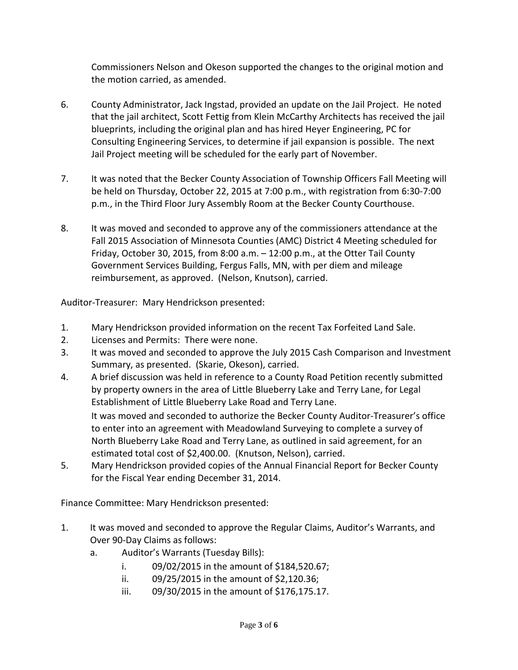Commissioners Nelson and Okeson supported the changes to the original motion and the motion carried, as amended.

- 6. County Administrator, Jack Ingstad, provided an update on the Jail Project. He noted that the jail architect, Scott Fettig from Klein McCarthy Architects has received the jail blueprints, including the original plan and has hired Heyer Engineering, PC for Consulting Engineering Services, to determine if jail expansion is possible. The next Jail Project meeting will be scheduled for the early part of November.
- 7. It was noted that the Becker County Association of Township Officers Fall Meeting will be held on Thursday, October 22, 2015 at 7:00 p.m., with registration from 6:30-7:00 p.m., in the Third Floor Jury Assembly Room at the Becker County Courthouse.
- 8. It was moved and seconded to approve any of the commissioners attendance at the Fall 2015 Association of Minnesota Counties (AMC) District 4 Meeting scheduled for Friday, October 30, 2015, from 8:00 a.m. – 12:00 p.m., at the Otter Tail County Government Services Building, Fergus Falls, MN, with per diem and mileage reimbursement, as approved. (Nelson, Knutson), carried.

Auditor-Treasurer: Mary Hendrickson presented:

- 1. Mary Hendrickson provided information on the recent Tax Forfeited Land Sale.
- 2. Licenses and Permits: There were none.
- 3. It was moved and seconded to approve the July 2015 Cash Comparison and Investment Summary, as presented. (Skarie, Okeson), carried.
- 4. A brief discussion was held in reference to a County Road Petition recently submitted by property owners in the area of Little Blueberry Lake and Terry Lane, for Legal Establishment of Little Blueberry Lake Road and Terry Lane. It was moved and seconded to authorize the Becker County Auditor-Treasurer's office to enter into an agreement with Meadowland Surveying to complete a survey of North Blueberry Lake Road and Terry Lane, as outlined in said agreement, for an estimated total cost of \$2,400.00. (Knutson, Nelson), carried.
- 5. Mary Hendrickson provided copies of the Annual Financial Report for Becker County for the Fiscal Year ending December 31, 2014.

Finance Committee: Mary Hendrickson presented:

- 1. It was moved and seconded to approve the Regular Claims, Auditor's Warrants, and Over 90-Day Claims as follows:
	- a. Auditor's Warrants (Tuesday Bills):
		- i. 09/02/2015 in the amount of \$184,520.67;
		- ii. 09/25/2015 in the amount of \$2,120.36;
		- iii. 09/30/2015 in the amount of \$176,175.17.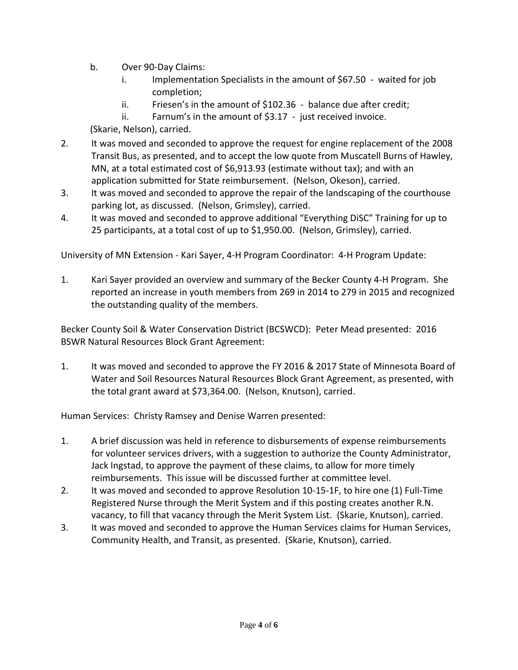- b. Over 90-Day Claims:
	- i. Implementation Specialists in the amount of \$67.50 waited for job completion;
	- ii. Friesen's in the amount of \$102.36 balance due after credit;
	- ii. Farnum's in the amount of \$3.17 just received invoice.

(Skarie, Nelson), carried.

- 2. It was moved and seconded to approve the request for engine replacement of the 2008 Transit Bus, as presented, and to accept the low quote from Muscatell Burns of Hawley, MN, at a total estimated cost of \$6,913.93 (estimate without tax); and with an application submitted for State reimbursement. (Nelson, Okeson), carried.
- 3. It was moved and seconded to approve the repair of the landscaping of the courthouse parking lot, as discussed. (Nelson, Grimsley), carried.
- 4. It was moved and seconded to approve additional "Everything DiSC" Training for up to 25 participants, at a total cost of up to \$1,950.00. (Nelson, Grimsley), carried.

University of MN Extension - Kari Sayer, 4-H Program Coordinator: 4-H Program Update:

1. Kari Sayer provided an overview and summary of the Becker County 4-H Program. She reported an increase in youth members from 269 in 2014 to 279 in 2015 and recognized the outstanding quality of the members.

Becker County Soil & Water Conservation District (BCSWCD): Peter Mead presented: 2016 BSWR Natural Resources Block Grant Agreement:

1. It was moved and seconded to approve the FY 2016 & 2017 State of Minnesota Board of Water and Soil Resources Natural Resources Block Grant Agreement, as presented, with the total grant award at \$73,364.00. (Nelson, Knutson), carried.

Human Services: Christy Ramsey and Denise Warren presented:

- 1. A brief discussion was held in reference to disbursements of expense reimbursements for volunteer services drivers, with a suggestion to authorize the County Administrator, Jack Ingstad, to approve the payment of these claims, to allow for more timely reimbursements. This issue will be discussed further at committee level.
- 2. It was moved and seconded to approve Resolution 10-15-1F, to hire one (1) Full-Time Registered Nurse through the Merit System and if this posting creates another R.N. vacancy, to fill that vacancy through the Merit System List. (Skarie, Knutson), carried.
- 3. It was moved and seconded to approve the Human Services claims for Human Services, Community Health, and Transit, as presented. (Skarie, Knutson), carried.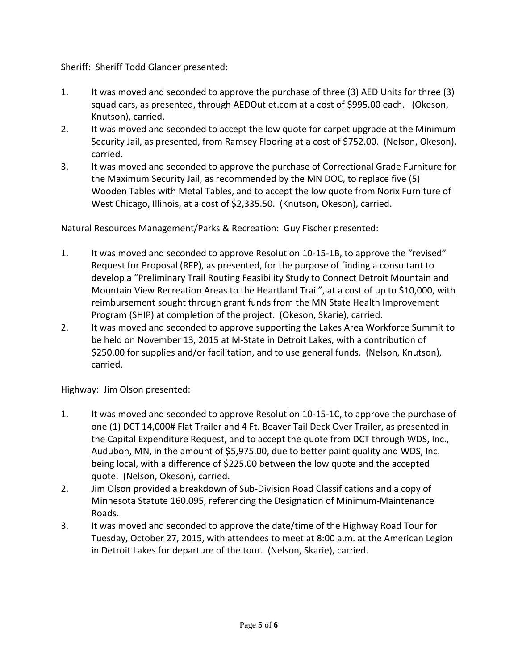Sheriff: Sheriff Todd Glander presented:

- 1. It was moved and seconded to approve the purchase of three (3) AED Units for three (3) squad cars, as presented, through AEDOutlet.com at a cost of \$995.00 each. (Okeson, Knutson), carried.
- 2. It was moved and seconded to accept the low quote for carpet upgrade at the Minimum Security Jail, as presented, from Ramsey Flooring at a cost of \$752.00. (Nelson, Okeson), carried.
- 3. It was moved and seconded to approve the purchase of Correctional Grade Furniture for the Maximum Security Jail, as recommended by the MN DOC, to replace five (5) Wooden Tables with Metal Tables, and to accept the low quote from Norix Furniture of West Chicago, Illinois, at a cost of \$2,335.50. (Knutson, Okeson), carried.

Natural Resources Management/Parks & Recreation: Guy Fischer presented:

- 1. It was moved and seconded to approve Resolution 10-15-1B, to approve the "revised" Request for Proposal (RFP), as presented, for the purpose of finding a consultant to develop a "Preliminary Trail Routing Feasibility Study to Connect Detroit Mountain and Mountain View Recreation Areas to the Heartland Trail", at a cost of up to \$10,000, with reimbursement sought through grant funds from the MN State Health Improvement Program (SHIP) at completion of the project. (Okeson, Skarie), carried.
- 2. It was moved and seconded to approve supporting the Lakes Area Workforce Summit to be held on November 13, 2015 at M-State in Detroit Lakes, with a contribution of \$250.00 for supplies and/or facilitation, and to use general funds. (Nelson, Knutson), carried.

Highway: Jim Olson presented:

- 1. It was moved and seconded to approve Resolution 10-15-1C, to approve the purchase of one (1) DCT 14,000# Flat Trailer and 4 Ft. Beaver Tail Deck Over Trailer, as presented in the Capital Expenditure Request, and to accept the quote from DCT through WDS, Inc., Audubon, MN, in the amount of \$5,975.00, due to better paint quality and WDS, Inc. being local, with a difference of \$225.00 between the low quote and the accepted quote. (Nelson, Okeson), carried.
- 2. Jim Olson provided a breakdown of Sub-Division Road Classifications and a copy of Minnesota Statute 160.095, referencing the Designation of Minimum-Maintenance Roads.
- 3. It was moved and seconded to approve the date/time of the Highway Road Tour for Tuesday, October 27, 2015, with attendees to meet at 8:00 a.m. at the American Legion in Detroit Lakes for departure of the tour. (Nelson, Skarie), carried.